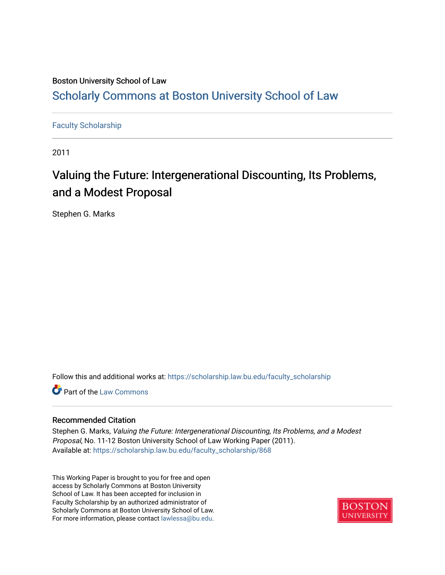## Boston University School of Law [Scholarly Commons at Boston University School of Law](https://scholarship.law.bu.edu/)

## [Faculty Scholarship](https://scholarship.law.bu.edu/faculty_scholarship)

2011

# Valuing the Future: Intergenerational Discounting, Its Problems, and a Modest Proposal

Stephen G. Marks

Follow this and additional works at: [https://scholarship.law.bu.edu/faculty\\_scholarship](https://scholarship.law.bu.edu/faculty_scholarship?utm_source=scholarship.law.bu.edu%2Ffaculty_scholarship%2F868&utm_medium=PDF&utm_campaign=PDFCoverPages)

**C** Part of the [Law Commons](http://network.bepress.com/hgg/discipline/578?utm_source=scholarship.law.bu.edu%2Ffaculty_scholarship%2F868&utm_medium=PDF&utm_campaign=PDFCoverPages)

#### Recommended Citation

Stephen G. Marks, Valuing the Future: Intergenerational Discounting, Its Problems, and a Modest Proposal, No. 11-12 Boston University School of Law Working Paper (2011). Available at: [https://scholarship.law.bu.edu/faculty\\_scholarship/868](https://scholarship.law.bu.edu/faculty_scholarship/868?utm_source=scholarship.law.bu.edu%2Ffaculty_scholarship%2F868&utm_medium=PDF&utm_campaign=PDFCoverPages) 

This Working Paper is brought to you for free and open access by Scholarly Commons at Boston University School of Law. It has been accepted for inclusion in Faculty Scholarship by an authorized administrator of Scholarly Commons at Boston University School of Law. For more information, please contact [lawlessa@bu.edu](mailto:lawlessa@bu.edu).

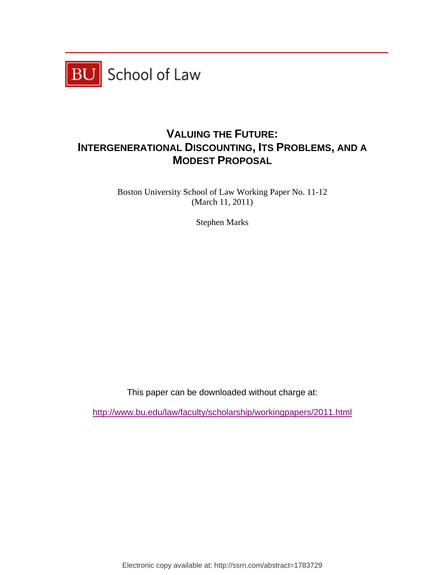

## **VALUING THE FUTURE: INTERGENERATIONAL DISCOUNTING, ITS PROBLEMS, AND A MODEST PROPOSAL**

Boston University School of Law Working Paper No. 11-12 (March 11, 2011)

Stephen Marks

This paper can be downloaded without charge at:

http://www.bu.edu/law/faculty/scholarship/workingpapers/2011.html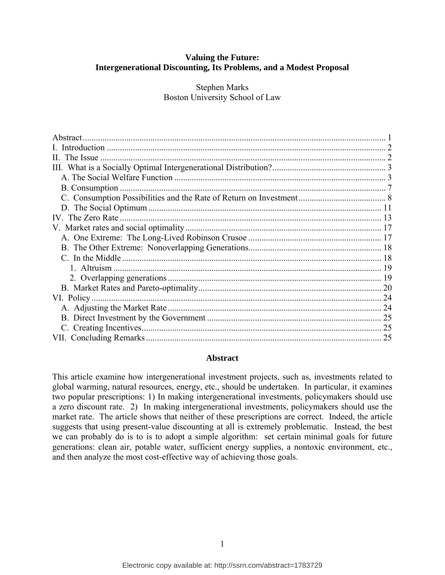## <span id="page-2-0"></span>**Valuing the Future: Intergenerational Discounting, Its Problems, and a Modest Proposal**

Stephen Marks Boston University School of Law

| 25 |
|----|

#### **Abstract**

This article examine how intergenerational investment projects, such as, investments related to global warming, natural resources, energy, etc., should be undertaken. In particular, it examines two popular prescriptions: 1) In making intergenerational investments, policymakers should use a zero discount rate. 2) In making intergenerational investments, policymakers should use the market rate. The article shows that neither of these prescriptions are correct. Indeed, the article suggests that using present-value discounting at all is extremely problematic. Instead, the best we can probably do is to is to adopt a simple algorithm: set certain minimal goals for future generations: clean air, potable water, sufficient energy supplies, a nontoxic environment, etc., and then analyze the most cost-effective way of achieving those goals.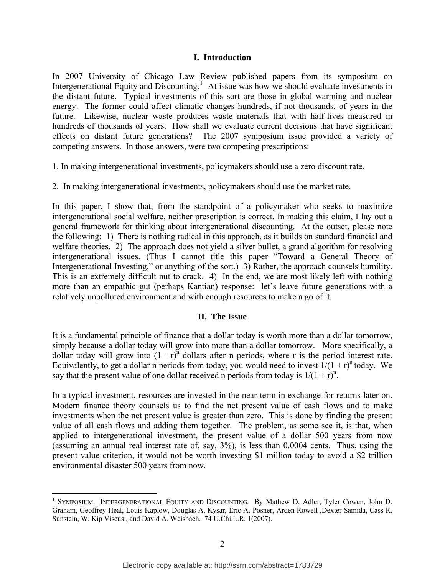#### **I. Introduction**

<span id="page-3-0"></span>In 2007 University of Chicago Law Review published papers from its symposium on Intergenerational Equity and Discounting.<sup>[1](#page-3-1)</sup> At issue was how we should evaluate investments in the distant future. Typical investments of this sort are those in global warming and nuclear energy. The former could affect climatic changes hundreds, if not thousands, of years in the future. Likewise, nuclear waste produces waste materials that with half-lives measured in hundreds of thousands of years. How shall we evaluate current decisions that have significant effects on distant future generations? The 2007 symposium issue provided a variety of competing answers. In those answers, were two competing prescriptions:

1. In making intergenerational investments, policymakers should use a zero discount rate.

2. In making intergenerational investments, policymakers should use the market rate.

In this paper, I show that, from the standpoint of a policymaker who seeks to maximize intergenerational social welfare, neither prescription is correct. In making this claim, I lay out a general framework for thinking about intergenerational discounting. At the outset, please note the following: 1) There is nothing radical in this approach, as it builds on standard financial and welfare theories. 2) The approach does not yield a silver bullet, a grand algorithm for resolving intergenerational issues. (Thus I cannot title this paper "Toward a General Theory of Intergenerational Investing," or anything of the sort.) 3) Rather, the approach counsels humility. This is an extremely difficult nut to crack. 4) In the end, we are most likely left with nothing more than an empathic gut (perhaps Kantian) response: let's leave future generations with a relatively unpolluted environment and with enough resources to make a go of it.

#### **II. The Issue**

It is a fundamental principle of finance that a dollar today is worth more than a dollar tomorrow, simply because a dollar today will grow into more than a dollar tomorrow. More specifically, a dollar today will grow into  $(1 + r)^n$  dollars after n periods, where r is the period interest rate. Equivalently, to get a dollar n periods from today, you would need to invest  $1/(1 + r)^n$  today. We say that the present value of one dollar received n periods from today is  $1/(1 + r)^n$ .

In a typical investment, resources are invested in the near-term in exchange for returns later on. Modern finance theory counsels us to find the net present value of cash flows and to make investments when the net present value is greater than zero. This is done by finding the present value of all cash flows and adding them together. The problem, as some see it, is that, when applied to intergenerational investment, the present value of a dollar 500 years from now (assuming an annual real interest rate of, say, 3%), is less than 0.0004 cents. Thus, using the present value criterion, it would not be worth investing \$1 million today to avoid a \$2 trillion environmental disaster 500 years from now.

1

<span id="page-3-1"></span><sup>&</sup>lt;sup>1</sup> SYMPOSIUM: INTERGENERATIONAL EQUITY AND DISCOUNTING. By Mathew D. Adler, Tyler Cowen, John D. Graham, Geoffrey Heal, Louis Kaplow, Douglas A. Kysar, Eric A. Posner, Arden Rowell ,Dexter Samida, Cass R. Sunstein, W. Kip Viscusi, and David A. Weisbach. 74 U.Chi.L.R. 1(2007).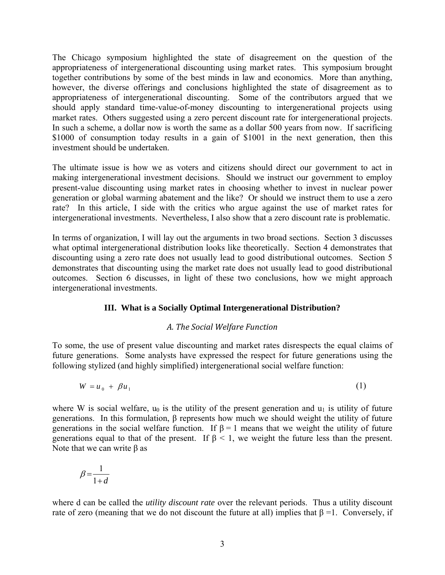<span id="page-4-0"></span>The Chicago symposium highlighted the state of disagreement on the question of the appropriateness of intergenerational discounting using market rates. This symposium brought together contributions by some of the best minds in law and economics. More than anything, however, the diverse offerings and conclusions highlighted the state of disagreement as to appropriateness of intergenerational discounting. Some of the contributors argued that we should apply standard time-value-of-money discounting to intergenerational projects using market rates. Others suggested using a zero percent discount rate for intergenerational projects. In such a scheme, a dollar now is worth the same as a dollar 500 years from now. If sacrificing \$1000 of consumption today results in a gain of \$1001 in the next generation, then this investment should be undertaken.

The ultimate issue is how we as voters and citizens should direct our government to act in making intergenerational investment decisions. Should we instruct our government to employ present-value discounting using market rates in choosing whether to invest in nuclear power generation or global warming abatement and the like? Or should we instruct them to use a zero rate? In this article, I side with the critics who argue against the use of market rates for intergenerational investments. Nevertheless, I also show that a zero discount rate is problematic.

In terms of organization, I will lay out the arguments in two broad sections. Section 3 discusses what optimal intergenerational distribution looks like theoretically. Section 4 demonstrates that discounting using a zero rate does not usually lead to good distributional outcomes. Section 5 demonstrates that discounting using the market rate does not usually lead to good distributional outcomes. Section 6 discusses, in light of these two conclusions, how we might approach intergenerational investments.

#### **III. What is a Socially Optimal Intergenerational Distribution?**

#### *A. The Social Welfare Function*

To some, the use of present value discounting and market rates disrespects the equal claims of future generations. Some analysts have expressed the respect for future generations using the following stylized (and highly simplified) intergenerational social welfare function:

$$
W = u_0 + \beta u_1 \tag{1}
$$

where W is social welfare,  $u_0$  is the utility of the present generation and  $u_1$  is utility of future generations. In this formulation, β represents how much we should weight the utility of future generations in the social welfare function. If  $\beta = 1$  means that we weight the utility of future generations equal to that of the present. If  $\beta$  < 1, we weight the future less than the present. Note that we can write β as

$$
\beta\!=\!\!\frac{1}{1\!+\!d}
$$

where d can be called the *utility discount rate* over the relevant periods. Thus a utility discount rate of zero (meaning that we do not discount the future at all) implies that  $\beta = 1$ . Conversely, if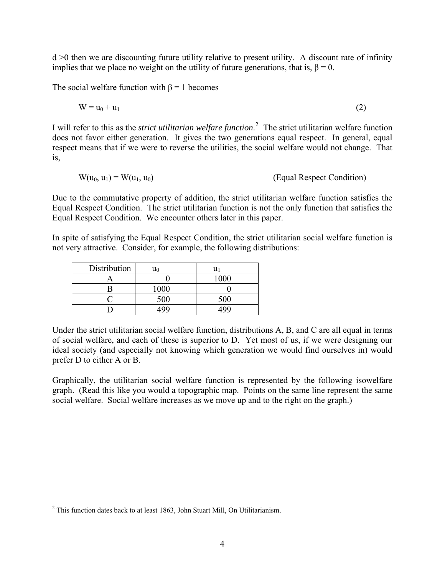$d > 0$  then we are discounting future utility relative to present utility. A discount rate of infinity implies that we place no weight on the utility of future generations, that is,  $\beta = 0$ .

The social welfare function with  $\beta = 1$  becomes

$$
W = u_0 + u_1 \tag{2}
$$

I will refer to this as the *strict utilitarian welfare function*. [2](#page-5-0) The strict utilitarian welfare function does not favor either generation. It gives the two generations equal respect. In general, equal respect means that if we were to reverse the utilities, the social welfare would not change. That is,

$$
W(u_0, u_1) = W(u_1, u_0)
$$
 (Equal Respect Condition)

Due to the commutative property of addition, the strict utilitarian welfare function satisfies the Equal Respect Condition. The strict utilitarian function is not the only function that satisfies the Equal Respect Condition. We encounter others later in this paper.

In spite of satisfying the Equal Respect Condition, the strict utilitarian social welfare function is not very attractive. Consider, for example, the following distributions:

| Distribution |      |      |
|--------------|------|------|
|              |      | 1000 |
|              | 1000 |      |
|              | 500  | 500  |
|              | 400  | 499  |

Under the strict utilitarian social welfare function, distributions A, B, and C are all equal in terms of social welfare, and each of these is superior to D. Yet most of us, if we were designing our ideal society (and especially not knowing which generation we would find ourselves in) would prefer D to either A or B.

Graphically, the utilitarian social welfare function is represented by the following isowelfare graph. (Read this like you would a topographic map. Points on the same line represent the same social welfare. Social welfare increases as we move up and to the right on the graph.)

<span id="page-5-0"></span> 2 This function dates back to at least 1863, John Stuart Mill, On Utilitarianism.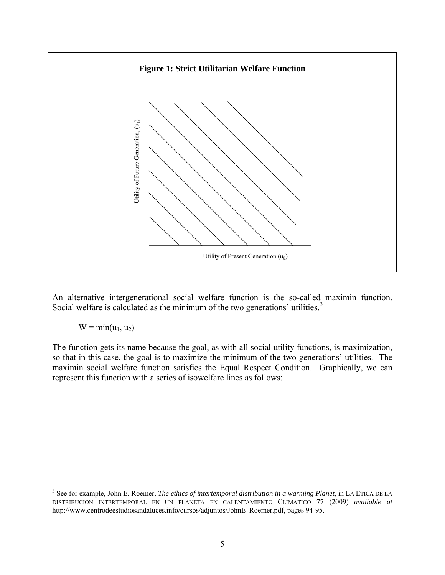

An alternative intergenerational social welfare function is the so-called maximin function. Social welfare is calculated as the minimum of the two generations' utilities.<sup>[3](#page-6-0)</sup>

 $W = min(u_1, u_2)$ 

The function gets its name because the goal, as with all social utility functions, is maximization, so that in this case, the goal is to maximize the minimum of the two generations' utilities. The maximin social welfare function satisfies the Equal Respect Condition. Graphically, we can represent this function with a series of isowelfare lines as follows:

<span id="page-6-0"></span> 3 See for example, John E. Roemer, *The ethics of intertemporal distribution in a warming Planet*, in LA ETICA DE LA DISTRIBUCION INTERTEMPORAL EN UN PLANETA EN CALENTAMIENTO CLIMATICO 77 (2009) *available at*  http://www.centrodeestudiosandaluces.info/cursos/adjuntos/JohnE\_Roemer.pdf, pages 94-95.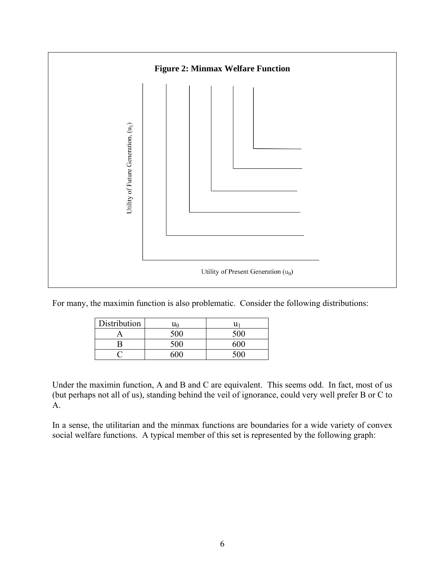

For many, the maximin function is also problematic. Consider the following distributions:

| Distribution | u٥  | u   |
|--------------|-----|-----|
|              | 500 | 500 |
|              | 500 | ናበበ |
|              | 50G |     |

Under the maximin function, A and B and C are equivalent. This seems odd. In fact, most of us (but perhaps not all of us), standing behind the veil of ignorance, could very well prefer B or C to A.

In a sense, the utilitarian and the minmax functions are boundaries for a wide variety of convex social welfare functions. A typical member of this set is represented by the following graph: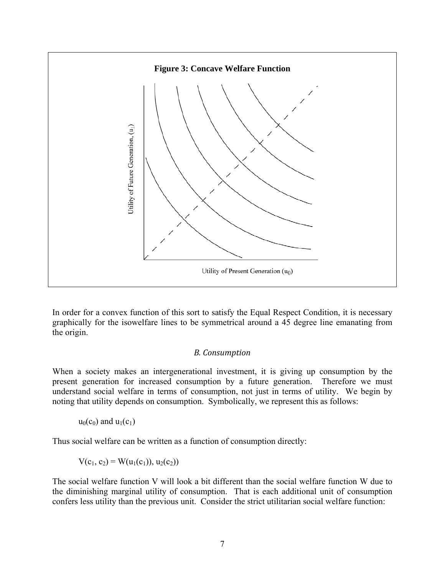<span id="page-8-0"></span>

In order for a convex function of this sort to satisfy the Equal Respect Condition, it is necessary graphically for the isowelfare lines to be symmetrical around a 45 degree line emanating from the origin.

#### *B. Consumption*

When a society makes an intergenerational investment, it is giving up consumption by the present generation for increased consumption by a future generation. Therefore we must understand social welfare in terms of consumption, not just in terms of utility. We begin by noting that utility depends on consumption. Symbolically, we represent this as follows:

 $u_0(c_0)$  and  $u_1(c_1)$ 

Thus social welfare can be written as a function of consumption directly:

 $V(c_1, c_2) = W(u_1(c_1)), u_2(c_2))$ 

The social welfare function V will look a bit different than the social welfare function W due to the diminishing marginal utility of consumption. That is each additional unit of consumption confers less utility than the previous unit. Consider the strict utilitarian social welfare function: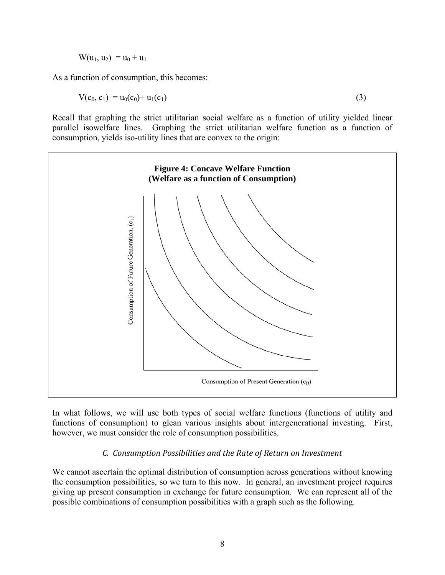$W(u_1, u_2) = u_0 + u_1$ 

<span id="page-9-0"></span>As a function of consumption, this becomes:

$$
V(c_0, c_1) = u_0(c_0) + u_1(c_1)
$$
\n(3)

Recall that graphing the strict utilitarian social welfare as a function of utility yielded linear parallel isowelfare lines. Graphing the strict utilitarian welfare function as a function of consumption, yields iso-utility lines that are convex to the origin:



In what follows, we will use both types of social welfare functions (functions of utility and functions of consumption) to glean various insights about intergenerational investing. First, however, we must consider the role of consumption possibilities.

## *C. Consumption Possibilities and the Rate of Return on Investment*

We cannot ascertain the optimal distribution of consumption across generations without knowing the consumption possibilities, so we turn to this now. In general, an investment project requires giving up present consumption in exchange for future consumption. We can represent all of the possible combinations of consumption possibilities with a graph such as the following.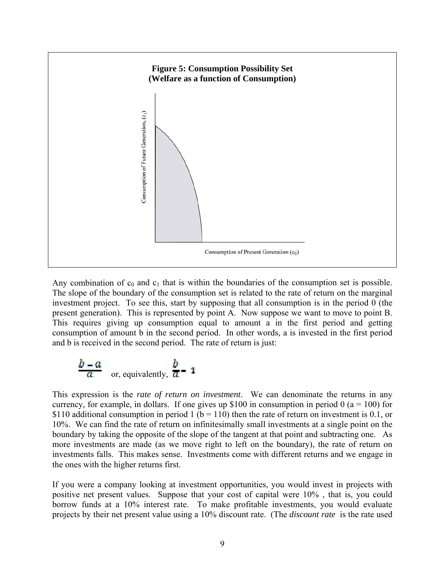

Any combination of  $c_0$  and  $c_1$  that is within the boundaries of the consumption set is possible. The slope of the boundary of the consumption set is related to the rate of return on the marginal investment project. To see this, start by supposing that all consumption is in the period 0 (the present generation). This is represented by point A. Now suppose we want to move to point B. This requires giving up consumption equal to amount a in the first period and getting consumption of amount b in the second period. In other words, a is invested in the first period and b is received in the second period. The rate of return is just:

$$
\frac{b-a}{a}
$$
 or, equivalently,  $\frac{b}{a}$  - 1

This expression is the *rate of return on investment*. We can denominate the returns in any currency, for example, in dollars. If one gives up \$100 in consumption in period 0 ( $a = 100$ ) for \$110 additional consumption in period 1 ( $b = 110$ ) then the rate of return on investment is 0.1, or 10%. We can find the rate of return on infinitesimally small investments at a single point on the boundary by taking the opposite of the slope of the tangent at that point and subtracting one. As more investments are made (as we move right to left on the boundary), the rate of return on investments falls. This makes sense. Investments come with different returns and we engage in the ones with the higher returns first.

If you were a company looking at investment opportunities, you would invest in projects with positive net present values. Suppose that your cost of capital were 10% , that is, you could borrow funds at a 10% interest rate. To make profitable investments, you would evaluate projects by their net present value using a 10% discount rate. (The *discount rate* is the rate used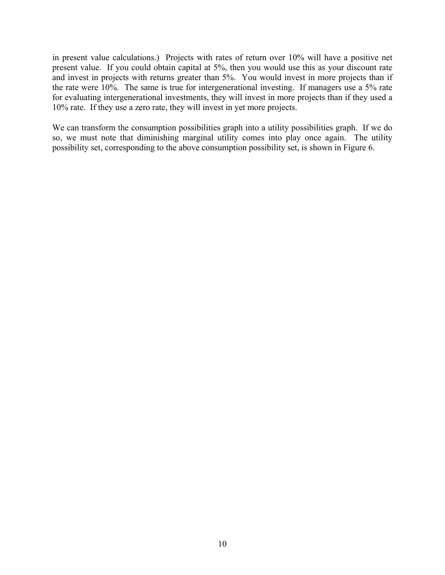in present value calculations.) Projects with rates of return over 10% will have a positive net present value. If you could obtain capital at 5%, then you would use this as your discount rate and invest in projects with returns greater than 5%. You would invest in more projects than if the rate were 10%. The same is true for intergenerational investing. If managers use a 5% rate for evaluating intergenerational investments, they will invest in more projects than if they used a 10% rate. If they use a zero rate, they will invest in yet more projects.

We can transform the consumption possibilities graph into a utility possibilities graph. If we do so, we must note that diminishing marginal utility comes into play once again. The utility possibility set, corresponding to the above consumption possibility set, is shown in Figure 6.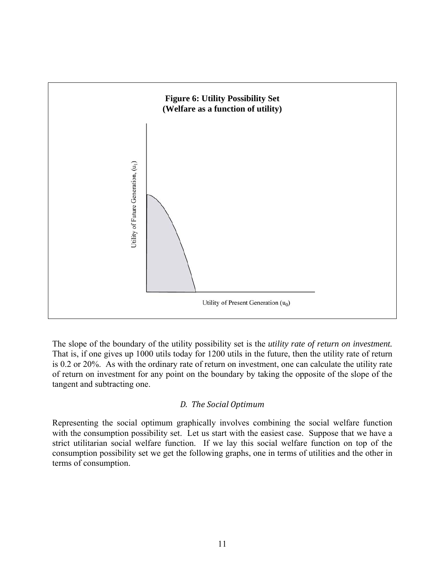<span id="page-12-0"></span>

The slope of the boundary of the utility possibility set is the *utility rate of return on investment.* That is, if one gives up 1000 utils today for 1200 utils in the future, then the utility rate of return is 0.2 or 20%. As with the ordinary rate of return on investment, one can calculate the utility rate of return on investment for any point on the boundary by taking the opposite of the slope of the tangent and subtracting one.

## *D. The Social Optimum*

Representing the social optimum graphically involves combining the social welfare function with the consumption possibility set. Let us start with the easiest case. Suppose that we have a strict utilitarian social welfare function. If we lay this social welfare function on top of the consumption possibility set we get the following graphs, one in terms of utilities and the other in terms of consumption.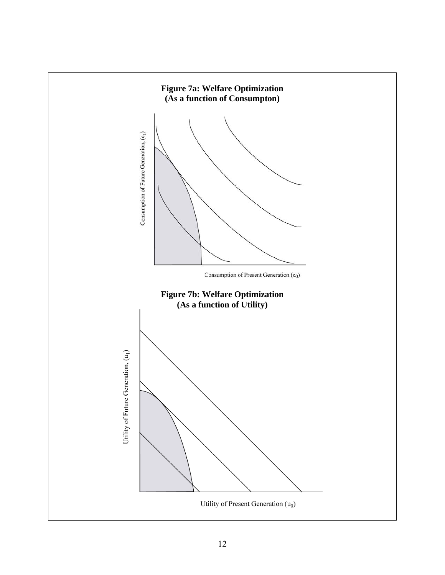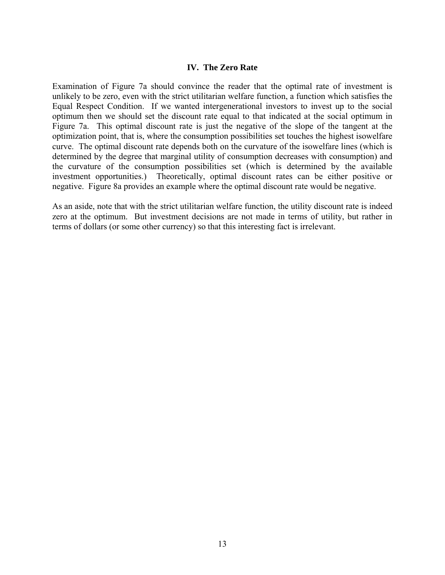#### **IV. The Zero Rate**

<span id="page-14-0"></span>Examination of Figure 7a should convince the reader that the optimal rate of investment is unlikely to be zero, even with the strict utilitarian welfare function, a function which satisfies the Equal Respect Condition. If we wanted intergenerational investors to invest up to the social optimum then we should set the discount rate equal to that indicated at the social optimum in Figure 7a. This optimal discount rate is just the negative of the slope of the tangent at the optimization point, that is, where the consumption possibilities set touches the highest isowelfare curve. The optimal discount rate depends both on the curvature of the isowelfare lines (which is determined by the degree that marginal utility of consumption decreases with consumption) and the curvature of the consumption possibilities set (which is determined by the available investment opportunities.) Theoretically, optimal discount rates can be either positive or negative. Figure 8a provides an example where the optimal discount rate would be negative.

As an aside, note that with the strict utilitarian welfare function, the utility discount rate is indeed zero at the optimum. But investment decisions are not made in terms of utility, but rather in terms of dollars (or some other currency) so that this interesting fact is irrelevant.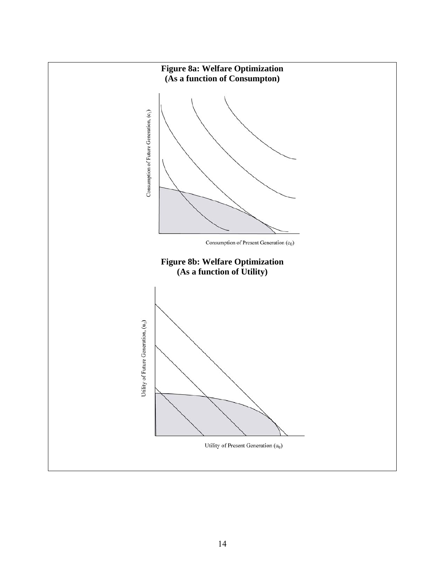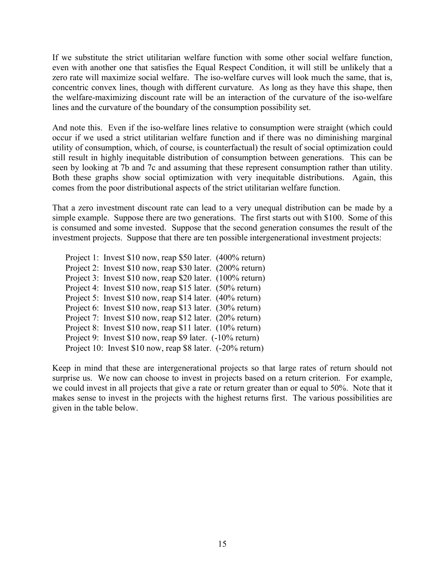If we substitute the strict utilitarian welfare function with some other social welfare function, even with another one that satisfies the Equal Respect Condition, it will still be unlikely that a zero rate will maximize social welfare. The iso-welfare curves will look much the same, that is, concentric convex lines, though with different curvature. As long as they have this shape, then the welfare-maximizing discount rate will be an interaction of the curvature of the iso-welfare lines and the curvature of the boundary of the consumption possibility set.

And note this. Even if the iso-welfare lines relative to consumption were straight (which could occur if we used a strict utilitarian welfare function and if there was no diminishing marginal utility of consumption, which, of course, is counterfactual) the result of social optimization could still result in highly inequitable distribution of consumption between generations. This can be seen by looking at 7b and 7c and assuming that these represent consumption rather than utility. Both these graphs show social optimization with very inequitable distributions. Again, this comes from the poor distributional aspects of the strict utilitarian welfare function.

That a zero investment discount rate can lead to a very unequal distribution can be made by a simple example. Suppose there are two generations. The first starts out with \$100. Some of this is consumed and some invested. Suppose that the second generation consumes the result of the investment projects. Suppose that there are ten possible intergenerational investment projects:

Project 1: Invest \$10 now, reap \$50 later. (400% return) Project 2: Invest \$10 now, reap \$30 later. (200% return) Project 3: Invest \$10 now, reap \$20 later. (100% return) Project 4: Invest \$10 now, reap \$15 later. (50% return) Project 5: Invest \$10 now, reap \$14 later. (40% return) Project 6: Invest \$10 now, reap \$13 later. (30% return) Project 7: Invest \$10 now, reap \$12 later. (20% return) Project 8: Invest \$10 now, reap \$11 later. (10% return) Project 9: Invest \$10 now, reap \$9 later. (-10% return) Project 10: Invest \$10 now, reap \$8 later. (-20% return)

Keep in mind that these are intergenerational projects so that large rates of return should not surprise us. We now can choose to invest in projects based on a return criterion. For example, we could invest in all projects that give a rate or return greater than or equal to 50%. Note that it makes sense to invest in the projects with the highest returns first. The various possibilities are given in the table below.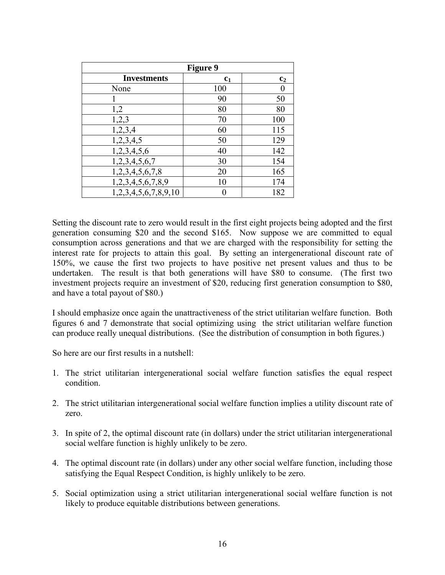| <b>Figure 9</b>      |                |                |  |  |
|----------------------|----------------|----------------|--|--|
| <b>Investments</b>   | c <sub>1</sub> | c <sub>2</sub> |  |  |
| None                 | 100            |                |  |  |
|                      | 90             | 50             |  |  |
| 1,2                  | 80             | 80             |  |  |
| 1,2,3                | 70             | 100            |  |  |
| 1,2,3,4              | 60             | 115            |  |  |
| 1,2,3,4,5            | 50             | 129            |  |  |
| 1,2,3,4,5,6          | 40             | 142            |  |  |
| 1,2,3,4,5,6,7        | 30             | 154            |  |  |
| 1,2,3,4,5,6,7,8      | 20             | 165            |  |  |
| 1,2,3,4,5,6,7,8,9    | 10             | 174            |  |  |
| 1,2,3,4,5,6,7,8,9,10 |                | 182            |  |  |

Setting the discount rate to zero would result in the first eight projects being adopted and the first generation consuming \$20 and the second \$165. Now suppose we are committed to equal consumption across generations and that we are charged with the responsibility for setting the interest rate for projects to attain this goal. By setting an intergenerational discount rate of 150%, we cause the first two projects to have positive net present values and thus to be undertaken. The result is that both generations will have \$80 to consume. (The first two investment projects require an investment of \$20, reducing first generation consumption to \$80, and have a total payout of \$80.)

I should emphasize once again the unattractiveness of the strict utilitarian welfare function. Both figures 6 and 7 demonstrate that social optimizing using the strict utilitarian welfare function can produce really unequal distributions. (See the distribution of consumption in both figures.)

So here are our first results in a nutshell:

- 1. The strict utilitarian intergenerational social welfare function satisfies the equal respect condition.
- 2. The strict utilitarian intergenerational social welfare function implies a utility discount rate of zero.
- 3. In spite of 2, the optimal discount rate (in dollars) under the strict utilitarian intergenerational social welfare function is highly unlikely to be zero.
- 4. The optimal discount rate (in dollars) under any other social welfare function, including those satisfying the Equal Respect Condition, is highly unlikely to be zero.
- 5. Social optimization using a strict utilitarian intergenerational social welfare function is not likely to produce equitable distributions between generations.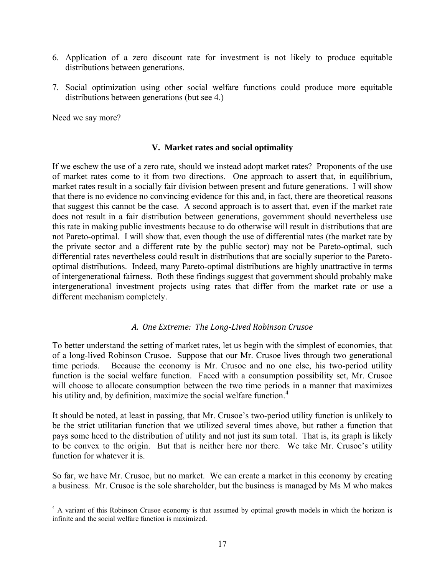- <span id="page-18-0"></span>6. Application of a zero discount rate for investment is not likely to produce equitable distributions between generations.
- 7. Social optimization using other social welfare functions could produce more equitable distributions between generations (but see 4.)

Need we say more?

#### **V. Market rates and social optimality**

If we eschew the use of a zero rate, should we instead adopt market rates? Proponents of the use of market rates come to it from two directions. One approach to assert that, in equilibrium, market rates result in a socially fair division between present and future generations. I will show that there is no evidence no convincing evidence for this and, in fact, there are theoretical reasons that suggest this cannot be the case. A second approach is to assert that, even if the market rate does not result in a fair distribution between generations, government should nevertheless use this rate in making public investments because to do otherwise will result in distributions that are not Pareto-optimal. I will show that, even though the use of differential rates (the market rate by the private sector and a different rate by the public sector) may not be Pareto-optimal, such differential rates nevertheless could result in distributions that are socially superior to the Paretooptimal distributions. Indeed, many Pareto-optimal distributions are highly unattractive in terms of intergenerational fairness. Both these findings suggest that government should probably make intergenerational investment projects using rates that differ from the market rate or use a different mechanism completely.

#### *A. One Extreme: The LongLived Robinson Crusoe*

To better understand the setting of market rates, let us begin with the simplest of economies, that of a long-lived Robinson Crusoe. Suppose that our Mr. Crusoe lives through two generational time periods. Because the economy is Mr. Crusoe and no one else, his two-period utility function is the social welfare function. Faced with a consumption possibility set, Mr. Crusoe will choose to allocate consumption between the two time periods in a manner that maximizes his utility and, by definition, maximize the social welfare function.<sup>[4](#page-18-1)</sup>

It should be noted, at least in passing, that Mr. Crusoe's two-period utility function is unlikely to be the strict utilitarian function that we utilized several times above, but rather a function that pays some heed to the distribution of utility and not just its sum total. That is, its graph is likely to be convex to the origin. But that is neither here nor there. We take Mr. Crusoe's utility function for whatever it is.

So far, we have Mr. Crusoe, but no market. We can create a market in this economy by creating a business. Mr. Crusoe is the sole shareholder, but the business is managed by Ms M who makes

<span id="page-18-1"></span><sup>&</sup>lt;sup>4</sup> A variant of this Robinson Crusoe economy is that assumed by optimal growth models in which the horizon is infinite and the social welfare function is maximized.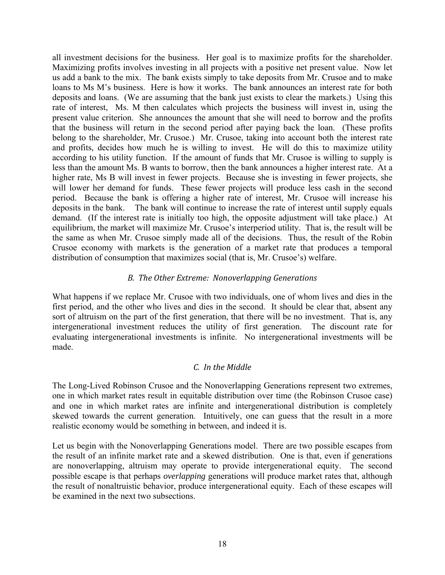<span id="page-19-0"></span>all investment decisions for the business. Her goal is to maximize profits for the shareholder. Maximizing profits involves investing in all projects with a positive net present value. Now let us add a bank to the mix. The bank exists simply to take deposits from Mr. Crusoe and to make loans to Ms M's business. Here is how it works. The bank announces an interest rate for both deposits and loans. (We are assuming that the bank just exists to clear the markets.) Using this rate of interest, Ms. M then calculates which projects the business will invest in, using the present value criterion. She announces the amount that she will need to borrow and the profits that the business will return in the second period after paying back the loan. (These profits belong to the shareholder, Mr. Crusoe.) Mr. Crusoe, taking into account both the interest rate and profits, decides how much he is willing to invest. He will do this to maximize utility according to his utility function. If the amount of funds that Mr. Crusoe is willing to supply is less than the amount Ms. B wants to borrow, then the bank announces a higher interest rate. At a higher rate, Ms B will invest in fewer projects. Because she is investing in fewer projects, she will lower her demand for funds. These fewer projects will produce less cash in the second period. Because the bank is offering a higher rate of interest, Mr. Crusoe will increase his deposits in the bank. The bank will continue to increase the rate of interest until supply equals demand. (If the interest rate is initially too high, the opposite adjustment will take place.) At equilibrium, the market will maximize Mr. Crusoe's interperiod utility. That is, the result will be the same as when Mr. Crusoe simply made all of the decisions. Thus, the result of the Robin Crusoe economy with markets is the generation of a market rate that produces a temporal distribution of consumption that maximizes social (that is, Mr. Crusoe's) welfare.

## *B. The Other Extreme: Nonoverlapping Generations*

What happens if we replace Mr. Crusoe with two individuals, one of whom lives and dies in the first period, and the other who lives and dies in the second. It should be clear that, absent any sort of altruism on the part of the first generation, that there will be no investment. That is, any intergenerational investment reduces the utility of first generation. The discount rate for evaluating intergenerational investments is infinite. No intergenerational investments will be made.

## *C. In the Middle*

The Long-Lived Robinson Crusoe and the Nonoverlapping Generations represent two extremes, one in which market rates result in equitable distribution over time (the Robinson Crusoe case) and one in which market rates are infinite and intergenerational distribution is completely skewed towards the current generation. Intuitively, one can guess that the result in a more realistic economy would be something in between, and indeed it is.

Let us begin with the Nonoverlapping Generations model. There are two possible escapes from the result of an infinite market rate and a skewed distribution. One is that, even if generations are nonoverlapping, altruism may operate to provide intergenerational equity. The second possible escape is that perhaps *overlapping* generations will produce market rates that, although the result of nonaltruistic behavior, produce intergenerational equity. Each of these escapes will be examined in the next two subsections.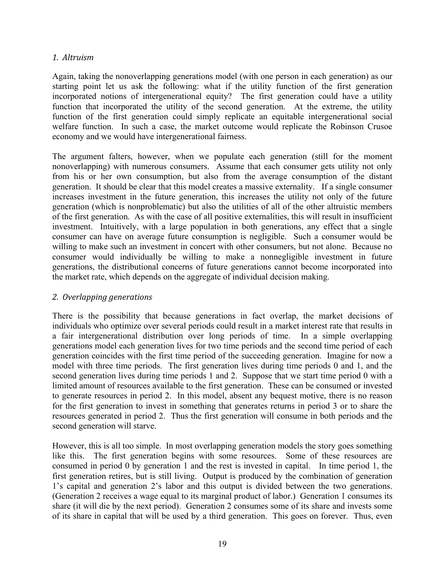## <span id="page-20-0"></span>*1. Altruism*

Again, taking the nonoverlapping generations model (with one person in each generation) as our starting point let us ask the following: what if the utility function of the first generation incorporated notions of intergenerational equity? The first generation could have a utility function that incorporated the utility of the second generation. At the extreme, the utility function of the first generation could simply replicate an equitable intergenerational social welfare function. In such a case, the market outcome would replicate the Robinson Crusoe economy and we would have intergenerational fairness.

The argument falters, however, when we populate each generation (still for the moment nonoverlapping) with numerous consumers. Assume that each consumer gets utility not only from his or her own consumption, but also from the average consumption of the distant generation. It should be clear that this model creates a massive externality. If a single consumer increases investment in the future generation, this increases the utility not only of the future generation (which is nonproblematic) but also the utilities of all of the other altruistic members of the first generation. As with the case of all positive externalities, this will result in insufficient investment. Intuitively, with a large population in both generations, any effect that a single consumer can have on average future consumption is negligible. Such a consumer would be willing to make such an investment in concert with other consumers, but not alone. Because no consumer would individually be willing to make a nonnegligible investment in future generations, the distributional concerns of future generations cannot become incorporated into the market rate, which depends on the aggregate of individual decision making.

## *2. Overlapping generations*

There is the possibility that because generations in fact overlap, the market decisions of individuals who optimize over several periods could result in a market interest rate that results in a fair intergenerational distribution over long periods of time. In a simple overlapping generations model each generation lives for two time periods and the second time period of each generation coincides with the first time period of the succeeding generation. Imagine for now a model with three time periods. The first generation lives during time periods 0 and 1, and the second generation lives during time periods 1 and 2. Suppose that we start time period 0 with a limited amount of resources available to the first generation. These can be consumed or invested to generate resources in period 2. In this model, absent any bequest motive, there is no reason for the first generation to invest in something that generates returns in period 3 or to share the resources generated in period 2. Thus the first generation will consume in both periods and the second generation will starve.

However, this is all too simple. In most overlapping generation models the story goes something like this. The first generation begins with some resources. Some of these resources are consumed in period 0 by generation 1 and the rest is invested in capital. In time period 1, the first generation retires, but is still living. Output is produced by the combination of generation 1's capital and generation 2's labor and this output is divided between the two generations. (Generation 2 receives a wage equal to its marginal product of labor.) Generation 1 consumes its share (it will die by the next period). Generation 2 consumes some of its share and invests some of its share in capital that will be used by a third generation. This goes on forever. Thus, even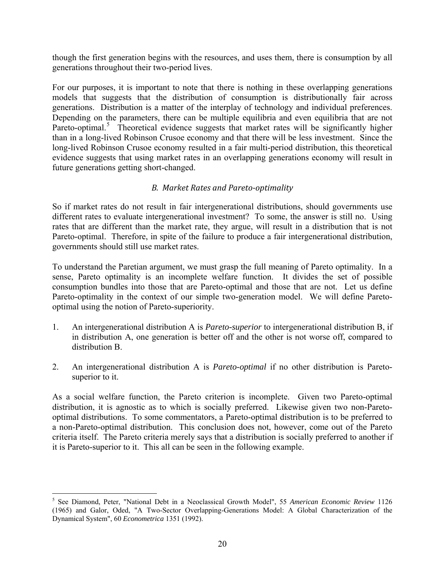<span id="page-21-0"></span>though the first generation begins with the resources, and uses them, there is consumption by all generations throughout their two-period lives.

For our purposes, it is important to note that there is nothing in these overlapping generations models that suggests that the distribution of consumption is distributionally fair across generations. Distribution is a matter of the interplay of technology and individual preferences. Depending on the parameters, there can be multiple equilibria and even equilibria that are not Pareto-optimal.<sup>[5](#page-21-1)</sup> Theoretical evidence suggests that market rates will be significantly higher than in a long-lived Robinson Crusoe economy and that there will be less investment. Since the long-lived Robinson Crusoe economy resulted in a fair multi-period distribution, this theoretical evidence suggests that using market rates in an overlapping generations economy will result in future generations getting short-changed.

## *B. Market Rates and Paretooptimality*

So if market rates do not result in fair intergenerational distributions, should governments use different rates to evaluate intergenerational investment? To some, the answer is still no. Using rates that are different than the market rate, they argue, will result in a distribution that is not Pareto-optimal. Therefore, in spite of the failure to produce a fair intergenerational distribution, governments should still use market rates.

To understand the Paretian argument, we must grasp the full meaning of Pareto optimality. In a sense, Pareto optimality is an incomplete welfare function. It divides the set of possible consumption bundles into those that are Pareto-optimal and those that are not. Let us define Pareto-optimality in the context of our simple two-generation model. We will define Paretooptimal using the notion of Pareto-superiority.

- 1. An intergenerational distribution A is *Pareto-superior* to intergenerational distribution B, if in distribution A, one generation is better off and the other is not worse off, compared to distribution B.
- 2. An intergenerational distribution A is *Pareto-optimal* if no other distribution is Paretosuperior to it.

As a social welfare function, the Pareto criterion is incomplete. Given two Pareto-optimal distribution, it is agnostic as to which is socially preferred. Likewise given two non-Paretooptimal distributions. To some commentators, a Pareto-optimal distribution is to be preferred to a non-Pareto-optimal distribution. This conclusion does not, however, come out of the Pareto criteria itself. The Pareto criteria merely says that a distribution is socially preferred to another if it is Pareto-superior to it. This all can be seen in the following example.

 $\overline{a}$ 

<span id="page-21-1"></span><sup>5</sup> See Diamond, Peter, "National Debt in a Neoclassical Growth Model", 55 *American Economic Review* 1126 (1965) and Galor, Oded, "A Two-Sector Overlapping-Generations Model: A Global Characterization of the Dynamical System", 60 *Econometrica* 1351 (1992).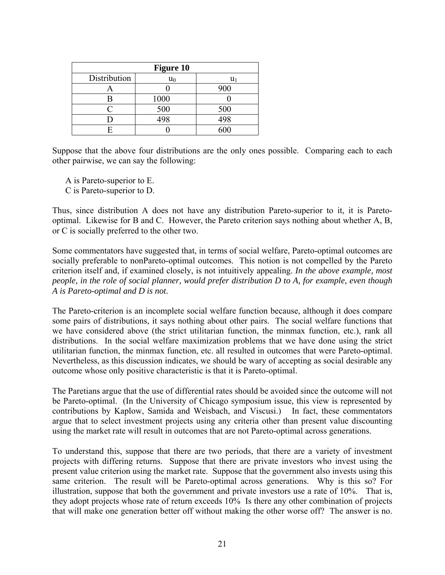| <b>Figure 10</b> |       |     |  |
|------------------|-------|-----|--|
| Distribution     | $u_0$ | U1  |  |
|                  |       | 900 |  |
|                  | 1000  |     |  |
| $\subset$        | 500   | 500 |  |
|                  | 498   | 498 |  |
|                  |       | 600 |  |

Suppose that the above four distributions are the only ones possible. Comparing each to each other pairwise, we can say the following:

A is Pareto-superior to E. C is Pareto-superior to D.

Thus, since distribution A does not have any distribution Pareto-superior to it, it is Paretooptimal. Likewise for B and C. However, the Pareto criterion says nothing about whether A, B, or C is socially preferred to the other two.

Some commentators have suggested that, in terms of social welfare, Pareto-optimal outcomes are socially preferable to nonPareto-optimal outcomes. This notion is not compelled by the Pareto criterion itself and, if examined closely, is not intuitively appealing. *In the above example, most people, in the role of social planner, would prefer distribution D to A, for example, even though A is Pareto-optimal and D is not.*

The Pareto-criterion is an incomplete social welfare function because, although it does compare some pairs of distributions, it says nothing about other pairs. The social welfare functions that we have considered above (the strict utilitarian function, the minmax function, etc.), rank all distributions. In the social welfare maximization problems that we have done using the strict utilitarian function, the minmax function, etc. all resulted in outcomes that were Pareto-optimal. Nevertheless, as this discussion indicates, we should be wary of accepting as social desirable any outcome whose only positive characteristic is that it is Pareto-optimal.

The Paretians argue that the use of differential rates should be avoided since the outcome will not be Pareto-optimal. (In the University of Chicago symposium issue, this view is represented by contributions by Kaplow, Samida and Weisbach, and Viscusi.) In fact, these commentators argue that to select investment projects using any criteria other than present value discounting using the market rate will result in outcomes that are not Pareto-optimal across generations.

To understand this, suppose that there are two periods, that there are a variety of investment projects with differing returns. Suppose that there are private investors who invest using the present value criterion using the market rate. Suppose that the government also invests using this same criterion. The result will be Pareto-optimal across generations. Why is this so? For illustration, suppose that both the government and private investors use a rate of 10%. That is, they adopt projects whose rate of return exceeds 10% Is there any other combination of projects that will make one generation better off without making the other worse off? The answer is no.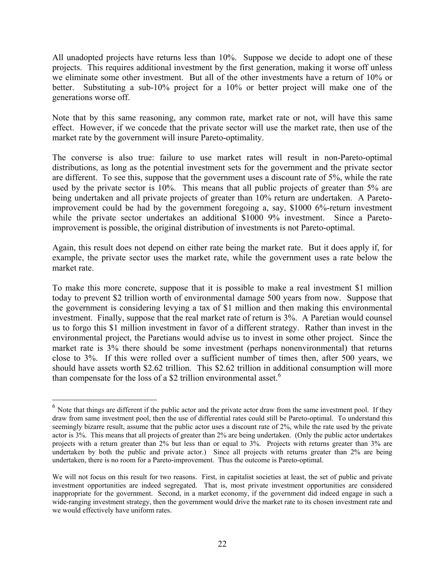All unadopted projects have returns less than 10%. Suppose we decide to adopt one of these projects. This requires additional investment by the first generation, making it worse off unless we eliminate some other investment. But all of the other investments have a return of 10% or better. Substituting a sub-10% project for a 10% or better project will make one of the generations worse off.

Note that by this same reasoning, any common rate, market rate or not, will have this same effect. However, if we concede that the private sector will use the market rate, then use of the market rate by the government will insure Pareto-optimality.

The converse is also true: failure to use market rates will result in non-Pareto-optimal distributions, as long as the potential investment sets for the government and the private sector are different. To see this, suppose that the government uses a discount rate of 5%, while the rate used by the private sector is 10%. This means that all public projects of greater than 5% are being undertaken and all private projects of greater than 10% return are undertaken. A Paretoimprovement could be had by the government foregoing a, say, \$1000 6%-return investment while the private sector undertakes an additional \$1000 9% investment. Since a Paretoimprovement is possible, the original distribution of investments is not Pareto-optimal.

Again, this result does not depend on either rate being the market rate. But it does apply if, for example, the private sector uses the market rate, while the government uses a rate below the market rate.

To make this more concrete, suppose that it is possible to make a real investment \$1 million today to prevent \$2 trillion worth of environmental damage 500 years from now. Suppose that the government is considering levying a tax of \$1 million and then making this environmental investment. Finally, suppose that the real market rate of return is 3%. A Paretian would counsel us to forgo this \$1 million investment in favor of a different strategy. Rather than invest in the environmental project, the Paretians would advise us to invest in some other project. Since the market rate is 3% there should be some investment (perhaps nonenvironmental) that returns close to 3%. If this were rolled over a sufficient number of times then, after 500 years, we should have assets worth \$2.62 trillion. This \$2.62 trillion in additional consumption will more than compensate for the loss of a \$2 trillion environmental asset.<sup>[6](#page-23-0)</sup>

 $\overline{a}$ 

<span id="page-23-0"></span> $<sup>6</sup>$  Note that things are different if the public actor and the private actor draw from the same investment pool. If they</sup> draw from same investment pool, then the use of differential rates could still be Pareto-optimal. To understand this seemingly bizarre result, assume that the public actor uses a discount rate of 2%, while the rate used by the private actor is 3%. This means that all projects of greater than 2% are being undertaken. (Only the public actor undertakes projects with a return greater than 2% but less than or equal to 3%. Projects with returns greater than 3% are undertaken by both the public and private actor.) Since all projects with returns greater than 2% are being undertaken, there is no room for a Pareto-improvement. Thus the outcome is Pareto-optimal.

We will not focus on this result for two reasons. First, in capitalist societies at least, the set of public and private investment opportunities are indeed segregated. That is, most private investment opportunities are considered inappropriate for the government. Second, in a market economy, if the government did indeed engage in such a wide-ranging investment strategy, then the government would drive the market rate to its chosen investment rate and we would effectively have uniform rates.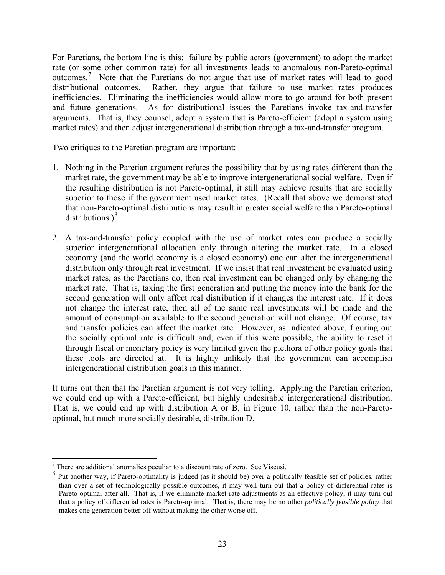For Paretians, the bottom line is this: failure by public actors (government) to adopt the market rate (or some other common rate) for all investments leads to anomalous non-Pareto-optimal outcomes.<sup>[7](#page-24-0)</sup> Note that the Paretians do not argue that use of market rates will lead to good distributional outcomes. Rather, they argue that failure to use market rates produces inefficiencies. Eliminating the inefficiencies would allow more to go around for both present and future generations. As for distributional issues the Paretians invoke tax-and-transfer arguments. That is, they counsel, adopt a system that is Pareto-efficient (adopt a system using market rates) and then adjust intergenerational distribution through a tax-and-transfer program.

Two critiques to the Paretian program are important:

- 1. Nothing in the Paretian argument refutes the possibility that by using rates different than the market rate, the government may be able to improve intergenerational social welfare. Even if the resulting distribution is not Pareto-optimal, it still may achieve results that are socially superior to those if the government used market rates. (Recall that above we demonstrated that non-Pareto-optimal distributions may result in greater social welfare than Pareto-optimal distributions.) $^{8}$  $^{8}$  $^{8}$
- 2. A tax-and-transfer policy coupled with the use of market rates can produce a socially superior intergenerational allocation only through altering the market rate. In a closed economy (and the world economy is a closed economy) one can alter the intergenerational distribution only through real investment. If we insist that real investment be evaluated using market rates, as the Paretians do, then real investment can be changed only by changing the market rate. That is, taxing the first generation and putting the money into the bank for the second generation will only affect real distribution if it changes the interest rate. If it does not change the interest rate, then all of the same real investments will be made and the amount of consumption available to the second generation will not change. Of course, tax and transfer policies can affect the market rate. However, as indicated above, figuring out the socially optimal rate is difficult and, even if this were possible, the ability to reset it through fiscal or monetary policy is very limited given the plethora of other policy goals that these tools are directed at. It is highly unlikely that the government can accomplish intergenerational distribution goals in this manner.

It turns out then that the Paretian argument is not very telling. Applying the Paretian criterion, we could end up with a Pareto-efficient, but highly undesirable intergenerational distribution. That is, we could end up with distribution A or B, in Figure 10, rather than the non-Paretooptimal, but much more socially desirable, distribution D.

 $\overline{a}$ 

<span id="page-24-1"></span><span id="page-24-0"></span><sup>7</sup> There are additional anomalies peculiar to a discount rate of zero. See Viscusi.

<sup>8</sup> Put another way, if Pareto-optimality is judged (as it should be) over a politically feasible set of policies, rather than over a set of technologically possible outcomes, it may well turn out that a policy of differential rates is Pareto-optimal after all. That is, if we eliminate market-rate adjustments as an effective policy, it may turn out that a policy of differential rates is Pareto-optimal. That is, there may be no other *politically feasible policy* that makes one generation better off without making the other worse off.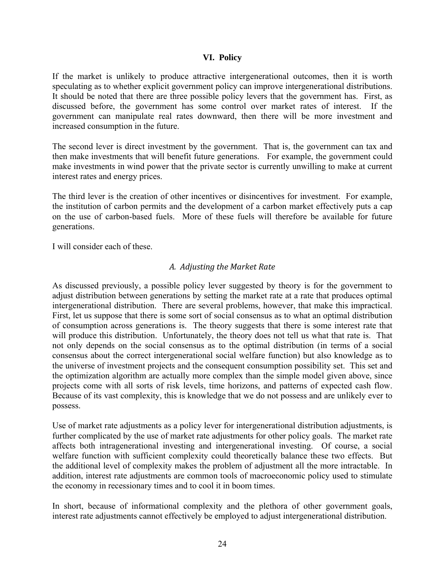#### **VI. Policy**

<span id="page-25-0"></span>If the market is unlikely to produce attractive intergenerational outcomes, then it is worth speculating as to whether explicit government policy can improve intergenerational distributions. It should be noted that there are three possible policy levers that the government has. First, as discussed before, the government has some control over market rates of interest. If the government can manipulate real rates downward, then there will be more investment and increased consumption in the future.

The second lever is direct investment by the government. That is, the government can tax and then make investments that will benefit future generations. For example, the government could make investments in wind power that the private sector is currently unwilling to make at current interest rates and energy prices.

The third lever is the creation of other incentives or disincentives for investment. For example, the institution of carbon permits and the development of a carbon market effectively puts a cap on the use of carbon-based fuels. More of these fuels will therefore be available for future generations.

I will consider each of these.

## *A. Adjusting the Market Rate*

As discussed previously, a possible policy lever suggested by theory is for the government to adjust distribution between generations by setting the market rate at a rate that produces optimal intergenerational distribution. There are several problems, however, that make this impractical. First, let us suppose that there is some sort of social consensus as to what an optimal distribution of consumption across generations is. The theory suggests that there is some interest rate that will produce this distribution. Unfortunately, the theory does not tell us what that rate is. That not only depends on the social consensus as to the optimal distribution (in terms of a social consensus about the correct intergenerational social welfare function) but also knowledge as to the universe of investment projects and the consequent consumption possibility set. This set and the optimization algorithm are actually more complex than the simple model given above, since projects come with all sorts of risk levels, time horizons, and patterns of expected cash flow. Because of its vast complexity, this is knowledge that we do not possess and are unlikely ever to possess.

Use of market rate adjustments as a policy lever for intergenerational distribution adjustments, is further complicated by the use of market rate adjustments for other policy goals. The market rate affects both intragenerational investing and intergenerational investing. Of course, a social welfare function with sufficient complexity could theoretically balance these two effects. But the additional level of complexity makes the problem of adjustment all the more intractable. In addition, interest rate adjustments are common tools of macroeconomic policy used to stimulate the economy in recessionary times and to cool it in boom times.

In short, because of informational complexity and the plethora of other government goals, interest rate adjustments cannot effectively be employed to adjust intergenerational distribution.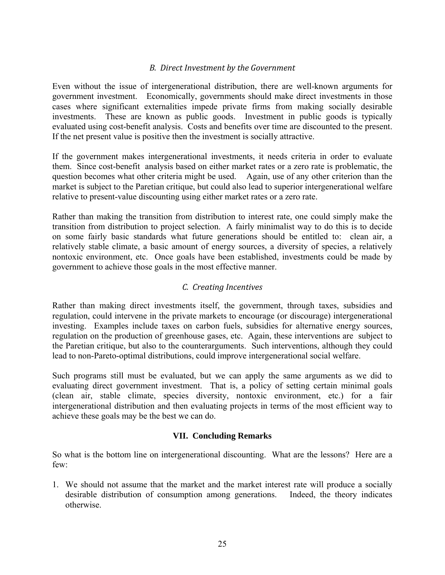## *B. Direct Investment by the Government*

<span id="page-26-0"></span>Even without the issue of intergenerational distribution, there are well-known arguments for government investment. Economically, governments should make direct investments in those cases where significant externalities impede private firms from making socially desirable investments. These are known as public goods. Investment in public goods is typically evaluated using cost-benefit analysis. Costs and benefits over time are discounted to the present. If the net present value is positive then the investment is socially attractive.

If the government makes intergenerational investments, it needs criteria in order to evaluate them. Since cost-benefit analysis based on either market rates or a zero rate is problematic, the question becomes what other criteria might be used. Again, use of any other criterion than the market is subject to the Paretian critique, but could also lead to superior intergenerational welfare relative to present-value discounting using either market rates or a zero rate.

Rather than making the transition from distribution to interest rate, one could simply make the transition from distribution to project selection. A fairly minimalist way to do this is to decide on some fairly basic standards what future generations should be entitled to: clean air, a relatively stable climate, a basic amount of energy sources, a diversity of species, a relatively nontoxic environment, etc. Once goals have been established, investments could be made by government to achieve those goals in the most effective manner.

## *C. Creating Incentives*

Rather than making direct investments itself, the government, through taxes, subsidies and regulation, could intervene in the private markets to encourage (or discourage) intergenerational investing. Examples include taxes on carbon fuels, subsidies for alternative energy sources, regulation on the production of greenhouse gases, etc. Again, these interventions are subject to the Paretian critique, but also to the counterarguments. Such interventions, although they could lead to non-Pareto-optimal distributions, could improve intergenerational social welfare.

Such programs still must be evaluated, but we can apply the same arguments as we did to evaluating direct government investment. That is, a policy of setting certain minimal goals (clean air, stable climate, species diversity, nontoxic environment, etc.) for a fair intergenerational distribution and then evaluating projects in terms of the most efficient way to achieve these goals may be the best we can do.

#### **VII. Concluding Remarks**

So what is the bottom line on intergenerational discounting. What are the lessons? Here are a few:

1. We should not assume that the market and the market interest rate will produce a socially desirable distribution of consumption among generations. Indeed, the theory indicates otherwise.